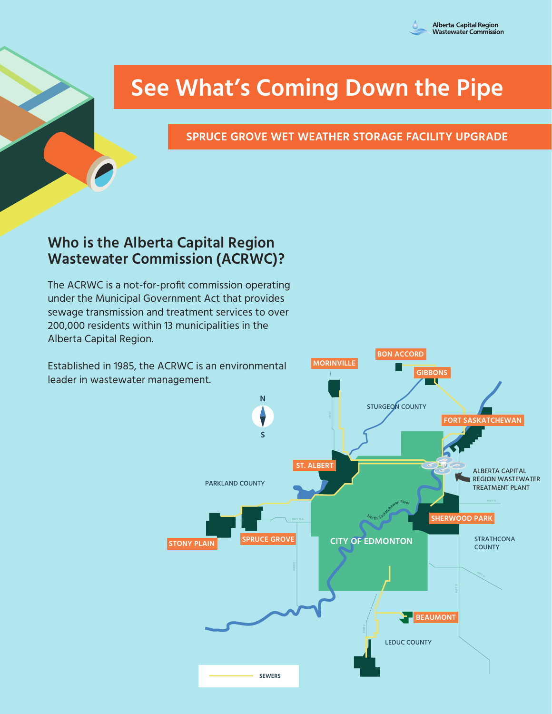

# **See What's Coming Down the Pipe**

**SPRUCE GROVE WET WEATHER STORAGE FACILITY UPGRADE**

# **Who is the Alberta Capital Region Wastewater Commission (ACRWC)?**

The ACRWC is a not-for-profit commission operating under the Municipal Government Act that provides sewage transmission and treatment services to over 200,000 residents within 13 municipalities in the Alberta Capital Region.

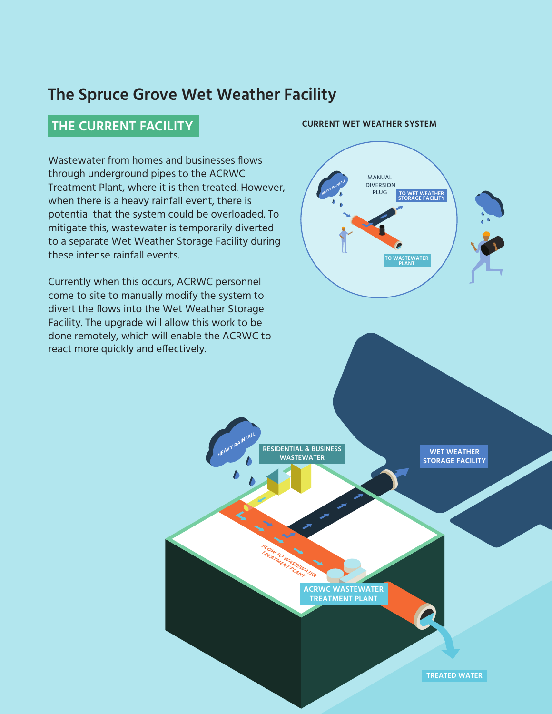# **The Spruce Grove Wet Weather Facility**

### **THE CURRENT FACILITY CURRENT WET WEATHER SYSTEM**

Wastewater from homes and businesses flows through underground pipes to the ACRWC Treatment Plant, where it is then treated. However, when there is a heavy rainfall event, there is potential that the system could be overloaded. To mitigate this, wastewater is temporarily diverted to a separate Wet Weather Storage Facility during these intense rainfall events. **TO WASTEWATER EXECUTE FIGHTS**<br>is then treated. H

Currently when this occurs, ACRWC personnel come to site to manually modify the system to divert the flows into the Wet Weather Storage Facility. The upgrade will allow this work to be done remotely, which will enable the ACRWC to react more quickly and effectively.

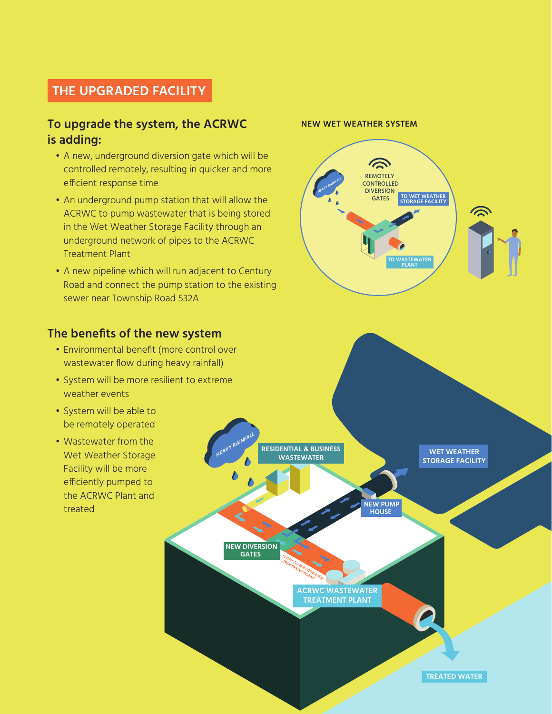### **THE UPGRADED FACILITY**

### **To upgrade the system, the ACRWC is adding:**

- A new, underground diversion gate which will be controlled remotely, resulting in quicker and more efficient response time **HEAVY RAINFALL** MANUAL
- An underground pump station that will allow the ACRWC to pump wastewater that is being stored in the Wet Weather Storage Facility through an underground network of pipes to the ACRWC Treatment Plant
- A new pipeline which will run adjacent to Century Road and connect the pump station to the existing sewer near Township Road 532A

### **The benefits of the new system**

- Environmental benefit (more control over wastewater flow during heavy rainfall)
- System will be more resilient to extreme weather events
- System will be able to be remotely operated
- Wastewater from the Wet Weather Storage Facility will be more efficiently pumped to the ACRWC Plant and treated

# **WET WEATHER STORAGE FACILITY HEAVY RAI<sup>N</sup>FALL FROM TO WASTEWATER** TREATMENT PLANT  **NEW PUMP HOUSE NEW DIVERSION GATES RESIDENTIAL & BUSINESS WASTEWATER ACRWC WASTEWATER TREATMENT PLANT TREATED WATER**

#### **NEW WET WEATHER SYSTEM**